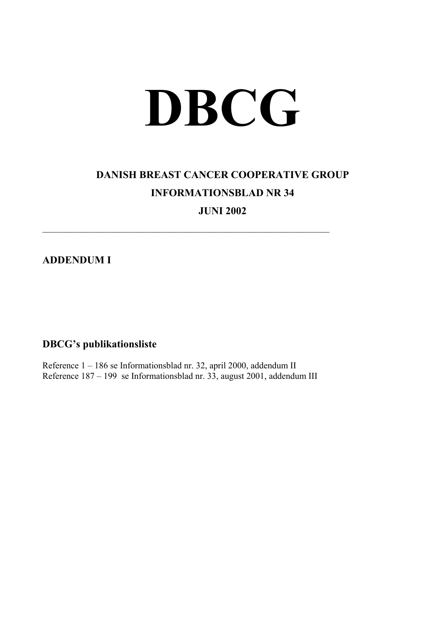## **DBCG**

## **DANISH BREAST CANCER COOPERATIVE GROUP INFORMATIONSBLAD NR 34**

**JUNI 2002** 

**ADDENDUM I** 

## **DBCG's publikationsliste**

Reference 1 – 186 se Informationsblad nr. 32, april 2000, addendum II Reference  $187 - 199$  se Informationsblad nr.  $33$ , august 2001, addendum III

 $\mathcal{L}_\text{max}$  , and the contribution of the contribution of the contribution of the contribution of the contribution of the contribution of the contribution of the contribution of the contribution of the contribution of t